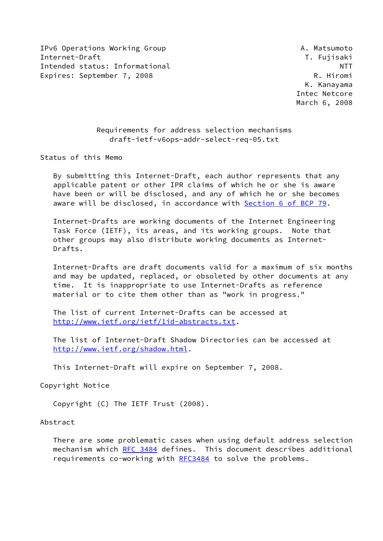IPv6 Operations Working Group **A. Matsumoto** Internet-Draft T. Fujisaki Intended status: Informational NTT Expires: September 7, 2008 R. Hiromi

 K. Kanayama Intec Netcore March 6, 2008

# Requirements for address selection mechanisms draft-ietf-v6ops-addr-select-req-05.txt

Status of this Memo

 By submitting this Internet-Draft, each author represents that any applicable patent or other IPR claims of which he or she is aware have been or will be disclosed, and any of which he or she becomes aware will be disclosed, in accordance with Section [6 of BCP 79.](https://datatracker.ietf.org/doc/pdf/bcp79#section-6)

 Internet-Drafts are working documents of the Internet Engineering Task Force (IETF), its areas, and its working groups. Note that other groups may also distribute working documents as Internet- Drafts.

 Internet-Drafts are draft documents valid for a maximum of six months and may be updated, replaced, or obsoleted by other documents at any time. It is inappropriate to use Internet-Drafts as reference material or to cite them other than as "work in progress."

 The list of current Internet-Drafts can be accessed at <http://www.ietf.org/ietf/1id-abstracts.txt>.

 The list of Internet-Draft Shadow Directories can be accessed at <http://www.ietf.org/shadow.html>.

This Internet-Draft will expire on September 7, 2008.

Copyright Notice

Copyright (C) The IETF Trust (2008).

Abstract

 There are some problematic cases when using default address selection mechanism which [RFC 3484](https://datatracker.ietf.org/doc/pdf/rfc3484) defines. This document describes additional requirements co-working with [RFC3484](https://datatracker.ietf.org/doc/pdf/rfc3484) to solve the problems.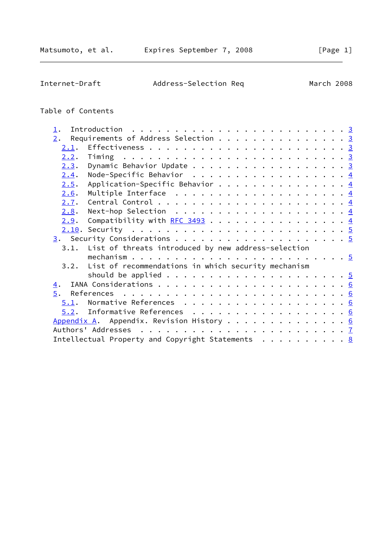Internet-Draft Address-Selection Req March 2008

# Table of Contents

| $1$ .            |                                                                       |  |  |  |  |  |
|------------------|-----------------------------------------------------------------------|--|--|--|--|--|
|                  |                                                                       |  |  |  |  |  |
| 2.               | Requirements of Address Selection 3                                   |  |  |  |  |  |
| 2.1.             |                                                                       |  |  |  |  |  |
| 2.2.             |                                                                       |  |  |  |  |  |
| 2.3.             | Dynamic Behavior Update 3                                             |  |  |  |  |  |
| 2.4.             | Node-Specific Behavior $\frac{4}{5}$                                  |  |  |  |  |  |
| 2.5.             | Application-Specific Behavior $\frac{4}{5}$                           |  |  |  |  |  |
| 2.6.             | Multiple Interface $\ldots \ldots \ldots \ldots \ldots \ldots$        |  |  |  |  |  |
| 2.7.             |                                                                       |  |  |  |  |  |
| 2.8.             | Next-hop Selection $\dots \dots \dots \dots \dots \dots \dots \dots$  |  |  |  |  |  |
| 2.9.             | Compatibility with <u>RFC 3493</u> 4                                  |  |  |  |  |  |
|                  |                                                                       |  |  |  |  |  |
|                  |                                                                       |  |  |  |  |  |
|                  |                                                                       |  |  |  |  |  |
|                  | 3.1. List of threats introduced by new address-selection              |  |  |  |  |  |
|                  |                                                                       |  |  |  |  |  |
|                  | 3.2. List of recommendations in which security mechanism              |  |  |  |  |  |
|                  |                                                                       |  |  |  |  |  |
| $\overline{4}$ . |                                                                       |  |  |  |  |  |
| 5.               |                                                                       |  |  |  |  |  |
| 5.1.             |                                                                       |  |  |  |  |  |
|                  | $5.2$ . Informative References 6                                      |  |  |  |  |  |
|                  | Appendix A. Appendix. Revision History 6                              |  |  |  |  |  |
|                  |                                                                       |  |  |  |  |  |
|                  |                                                                       |  |  |  |  |  |
|                  | Intellectual Property and Copyright Statements $\ldots \ldots \ldots$ |  |  |  |  |  |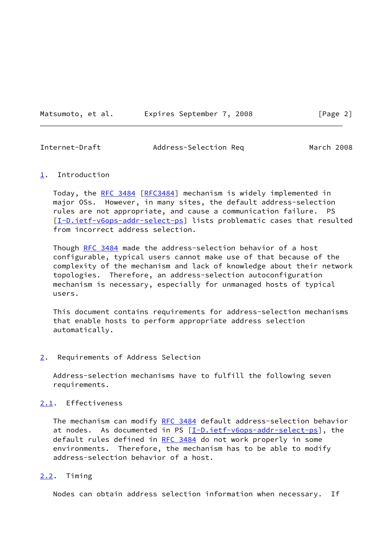Matsumoto, et al. Expires September 7, 2008 [Page 2]

<span id="page-2-1"></span>Internet-Draft Address-Selection Req March 2008

#### <span id="page-2-0"></span>[1](#page-2-0). Introduction

 Today, the [RFC 3484 \[RFC3484](https://datatracker.ietf.org/doc/pdf/rfc3484)] mechanism is widely implemented in major OSs. However, in many sites, the default address-selection rules are not appropriate, and cause a communication failure. PS [\[I-D.ietf-v6ops-addr-select-ps](#page-5-4)] lists problematic cases that resulted from incorrect address selection.

 Though [RFC 3484](https://datatracker.ietf.org/doc/pdf/rfc3484) made the address-selection behavior of a host configurable, typical users cannot make use of that because of the complexity of the mechanism and lack of knowledge about their network topologies. Therefore, an address-selection autoconfiguration mechanism is necessary, especially for unmanaged hosts of typical users.

 This document contains requirements for address-selection mechanisms that enable hosts to perform appropriate address selection automatically.

#### <span id="page-2-2"></span>[2](#page-2-2). Requirements of Address Selection

 Address-selection mechanisms have to fulfill the following seven requirements.

# <span id="page-2-3"></span>[2.1](#page-2-3). Effectiveness

The mechanism can modify [RFC 3484](https://datatracker.ietf.org/doc/pdf/rfc3484) default address-selection behavior at nodes. As documented in PS [\[I-D.ietf-v6ops-addr-select-ps](#page-5-4)], the default rules defined in [RFC 3484](https://datatracker.ietf.org/doc/pdf/rfc3484) do not work properly in some environments. Therefore, the mechanism has to be able to modify address-selection behavior of a host.

#### <span id="page-2-4"></span>[2.2](#page-2-4). Timing

Nodes can obtain address selection information when necessary. If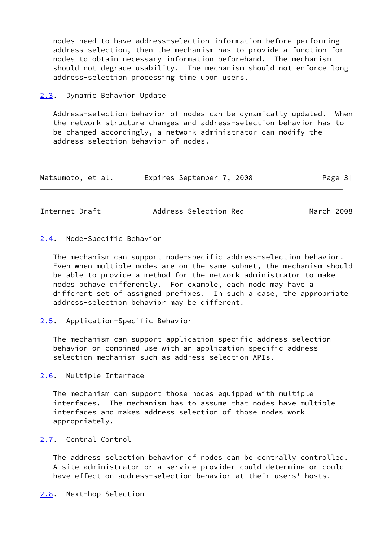nodes need to have address-selection information before performing address selection, then the mechanism has to provide a function for nodes to obtain necessary information beforehand. The mechanism should not degrade usability. The mechanism should not enforce long address-selection processing time upon users.

<span id="page-3-0"></span>[2.3](#page-3-0). Dynamic Behavior Update

 Address-selection behavior of nodes can be dynamically updated. When the network structure changes and address-selection behavior has to be changed accordingly, a network administrator can modify the address-selection behavior of nodes.

| Matsumoto, et al. | Expires September 7, 2008 | [Page 3] |
|-------------------|---------------------------|----------|
|-------------------|---------------------------|----------|

<span id="page-3-2"></span>Internet-Draft Address-Selection Req March 2008

#### <span id="page-3-1"></span>[2.4](#page-3-1). Node-Specific Behavior

 The mechanism can support node-specific address-selection behavior. Even when multiple nodes are on the same subnet, the mechanism should be able to provide a method for the network administrator to make nodes behave differently. For example, each node may have a different set of assigned prefixes. In such a case, the appropriate address-selection behavior may be different.

# <span id="page-3-3"></span>[2.5](#page-3-3). Application-Specific Behavior

 The mechanism can support application-specific address-selection behavior or combined use with an application-specific address selection mechanism such as address-selection APIs.

<span id="page-3-4"></span>[2.6](#page-3-4). Multiple Interface

 The mechanism can support those nodes equipped with multiple interfaces. The mechanism has to assume that nodes have multiple interfaces and makes address selection of those nodes work appropriately.

#### <span id="page-3-5"></span>[2.7](#page-3-5). Central Control

<span id="page-3-6"></span> The address selection behavior of nodes can be centrally controlled. A site administrator or a service provider could determine or could have effect on address-selection behavior at their users' hosts.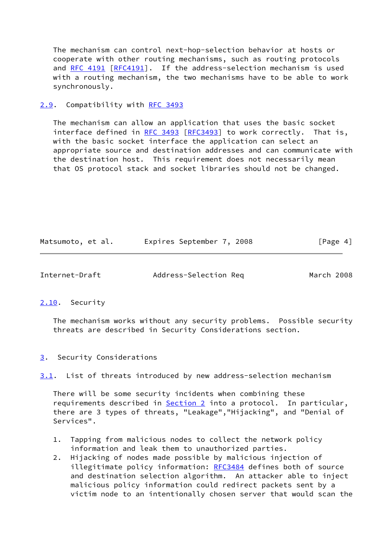The mechanism can control next-hop-selection behavior at hosts or cooperate with other routing mechanisms, such as routing protocols and [RFC 4191 \[RFC4191](https://datatracker.ietf.org/doc/pdf/rfc4191)]. If the address-selection mechanism is used with a routing mechanism, the two mechanisms have to be able to work synchronously.

# <span id="page-4-0"></span>[2.9](#page-4-0). Compatibility with [RFC 3493](https://datatracker.ietf.org/doc/pdf/rfc3493)

 The mechanism can allow an application that uses the basic socket interface defined in [RFC 3493](https://datatracker.ietf.org/doc/pdf/rfc3493) [[RFC3493](https://datatracker.ietf.org/doc/pdf/rfc3493)] to work correctly. That is, with the basic socket interface the application can select an appropriate source and destination addresses and can communicate with the destination host. This requirement does not necessarily mean that OS protocol stack and socket libraries should not be changed.

| Matsumoto, et al. | Expires September 7, 2008 |  | [Page 4] |
|-------------------|---------------------------|--|----------|
|-------------------|---------------------------|--|----------|

<span id="page-4-2"></span>Internet-Draft Address-Selection Req March 2008

# <span id="page-4-1"></span>[2.10](#page-4-1). Security

 The mechanism works without any security problems. Possible security threats are described in Security Considerations section.

# <span id="page-4-3"></span>[3](#page-4-3). Security Considerations

<span id="page-4-4"></span>[3.1](#page-4-4). List of threats introduced by new address-selection mechanism

 There will be some security incidents when combining these requirements described in [Section 2](#page-2-2) into a protocol. In particular, there are 3 types of threats, "Leakage","Hijacking", and "Denial of Services".

- 1. Tapping from malicious nodes to collect the network policy information and leak them to unauthorized parties.
- 2. Hijacking of nodes made possible by malicious injection of illegitimate policy information: [RFC3484](https://datatracker.ietf.org/doc/pdf/rfc3484) defines both of source and destination selection algorithm. An attacker able to inject malicious policy information could redirect packets sent by a victim node to an intentionally chosen server that would scan the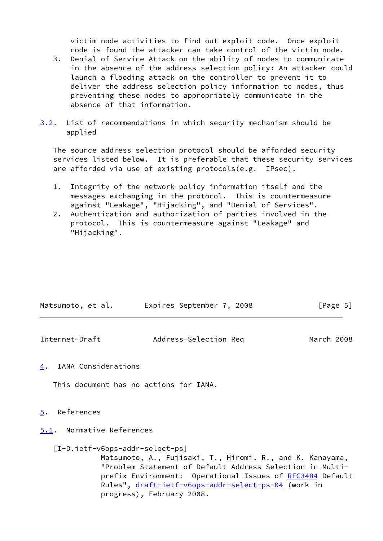victim node activities to find out exploit code. Once exploit code is found the attacker can take control of the victim node.

- 3. Denial of Service Attack on the ability of nodes to communicate in the absence of the address selection policy: An attacker could launch a flooding attack on the controller to prevent it to deliver the address selection policy information to nodes, thus preventing these nodes to appropriately communicate in the absence of that information.
- <span id="page-5-5"></span>[3.2](#page-5-5). List of recommendations in which security mechanism should be applied

 The source address selection protocol should be afforded security services listed below. It is preferable that these security services are afforded via use of existing protocols(e.g. IPsec).

- 1. Integrity of the network policy information itself and the messages exchanging in the protocol. This is countermeasure against "Leakage", "Hijacking", and "Denial of Services".
- 2. Authentication and authorization of parties involved in the protocol. This is countermeasure against "Leakage" and "Hijacking".

| Matsumoto, et al. |  | Expires September 7, 2008 |  | [Page 5] |  |
|-------------------|--|---------------------------|--|----------|--|
|                   |  |                           |  |          |  |

<span id="page-5-1"></span>

| Internet-Draft | Address-Selection Req | March 2008 |  |
|----------------|-----------------------|------------|--|
|                |                       |            |  |

<span id="page-5-0"></span>[4](#page-5-0). IANA Considerations

This document has no actions for IANA.

- <span id="page-5-2"></span>[5](#page-5-2). References
- <span id="page-5-3"></span>[5.1](#page-5-3). Normative References

# <span id="page-5-4"></span>[I-D.ietf-v6ops-addr-select-ps]

 Matsumoto, A., Fujisaki, T., Hiromi, R., and K. Kanayama, "Problem Statement of Default Address Selection in Multi- prefix Environment: Operational Issues of [RFC3484](https://datatracker.ietf.org/doc/pdf/rfc3484) Default Rules", [draft-ietf-v6ops-addr-select-ps-04](https://datatracker.ietf.org/doc/pdf/draft-ietf-v6ops-addr-select-ps-04) (work in progress), February 2008.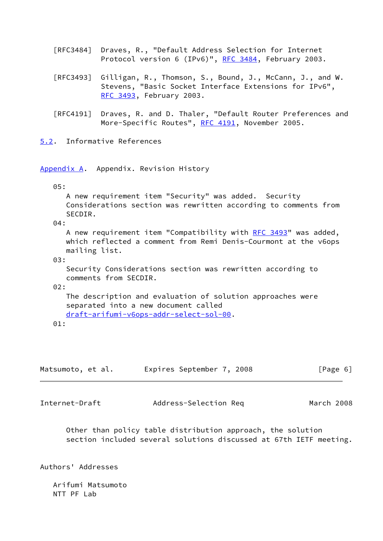| [RFC3484] Draves, R., "Default Address Selection for Internet |  |  |  |
|---------------------------------------------------------------|--|--|--|
| Protocol version 6 (IPv6)", RFC 3484, February 2003.          |  |  |  |

- [RFC3493] Gilligan, R., Thomson, S., Bound, J., McCann, J., and W. Stevens, "Basic Socket Interface Extensions for IPv6", [RFC 3493,](https://datatracker.ietf.org/doc/pdf/rfc3493) February 2003.
- [RFC4191] Draves, R. and D. Thaler, "Default Router Preferences and More-Specific Routes", [RFC 4191](https://datatracker.ietf.org/doc/pdf/rfc4191), November 2005.

<span id="page-6-0"></span>[5.2](#page-6-0). Informative References

<span id="page-6-1"></span>[Appendix A.](#page-6-1) Appendix. Revision History

#### 05:

 A new requirement item "Security" was added. Security Considerations section was rewritten according to comments from SECDIR.

04:

A new requirement item "Compatibility with [RFC 3493](https://datatracker.ietf.org/doc/pdf/rfc3493)" was added, which reflected a comment from Remi Denis-Courmont at the v6ops mailing list.

03:

 Security Considerations section was rewritten according to comments from SECDIR.

# 02:

 The description and evaluation of solution approaches were separated into a new document called [draft-arifumi-v6ops-addr-select-sol-00](https://datatracker.ietf.org/doc/pdf/draft-arifumi-v6ops-addr-select-sol-00).

01:

| Matsumoto, et al. |  | Expires September 7, 2008 |  | [Page 6] |  |
|-------------------|--|---------------------------|--|----------|--|
|                   |  |                           |  |          |  |

<span id="page-6-2"></span>

Internet-Draft Address-Selection Req March 2008

 Other than policy table distribution approach, the solution section included several solutions discussed at 67th IETF meeting.

Authors' Addresses

 Arifumi Matsumoto NTT PF Lab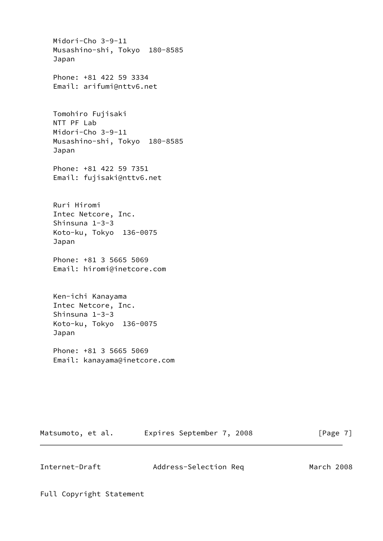Midori-Cho 3-9-11 Musashino-shi, Tokyo 180-8585 Japan Phone: +81 422 59 3334 Email: arifumi@nttv6.net Tomohiro Fujisaki NTT PF Lab Midori-Cho 3-9-11 Musashino-shi, Tokyo 180-8585 Japan Phone: +81 422 59 7351 Email: fujisaki@nttv6.net Ruri Hiromi Intec Netcore, Inc. Shinsuna 1-3-3 Koto-ku, Tokyo 136-0075 Japan Phone: +81 3 5665 5069 Email: hiromi@inetcore.com Ken-ichi Kanayama Intec Netcore, Inc. Shinsuna 1-3-3 Koto-ku, Tokyo 136-0075 Japan Phone: +81 3 5665 5069 Email: kanayama@inetcore.com

Matsumoto, et al. Expires September 7, 2008 [Page 7]

<span id="page-7-0"></span>Internet-Draft Address-Selection Req March 2008

Full Copyright Statement